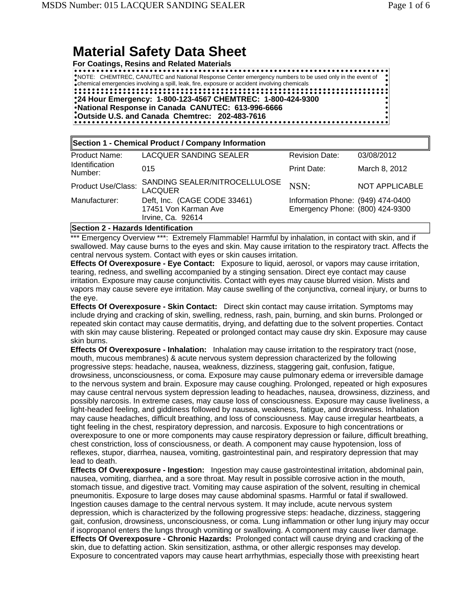# **Material Safety Data Sheet**

**For Coatings, Resins and Related Materials**

. . . . . . . . . . . . . . . . . . . NOTE: CHEMTREC, CANUTEC and National Response Center emergency numbers to be used only in the event of chemical emergencies involving a spill, leak, fire, exposure or accident involving chemicals **24 Hour Emergency: 1-800-123-4567 CHEMTREC: 1-800-424-9300 National Response in Canada CANUTEC: 613-996-6666 Outside U.S. and Canada Chemtrec: 202-483-7616**

| Section 1 - Chemical Product / Company Information |                                                                           |                                                                      |                       |
|----------------------------------------------------|---------------------------------------------------------------------------|----------------------------------------------------------------------|-----------------------|
| Product Name:                                      | <b>LACQUER SANDING SEALER</b>                                             | <b>Revision Date:</b>                                                | 03/08/2012            |
| Identification<br>Number:                          | 015                                                                       | Print Date:                                                          | March 8, 2012         |
| <b>Product Use/Class:</b>                          | SANDING SEALER/NITROCELLULOSE<br><b>LACQUER</b>                           | NSN:                                                                 | <b>NOT APPLICABLE</b> |
| Manufacturer:                                      | Deft, Inc. (CAGE CODE 33461)<br>17451 Von Karman Ave<br>Irvine, Ca. 92614 | Information Phone: (949) 474-0400<br>Emergency Phone: (800) 424-9300 |                       |

**Section 2 - Hazards Identification**

\*\*\* Emergency Overview \*\*\*: Extremely Flammable! Harmful by inhalation, in contact with skin, and if swallowed. May cause burns to the eyes and skin. May cause irritation to the respiratory tract. Affects the central nervous system. Contact with eyes or skin causes irritation.

**Effects Of Overexposure - Eye Contact:** Exposure to liquid, aerosol, or vapors may cause irritation, tearing, redness, and swelling accompanied by a stinging sensation. Direct eye contact may cause irritation. Exposure may cause conjunctivitis. Contact with eyes may cause blurred vision. Mists and vapors may cause severe eye irritation. May cause swelling of the conjunctiva, corneal injury, or burns to the eye.

**Effects Of Overexposure - Skin Contact:** Direct skin contact may cause irritation. Symptoms may include drying and cracking of skin, swelling, redness, rash, pain, burning, and skin burns. Prolonged or repeated skin contact may cause dermatitis, drying, and defatting due to the solvent properties. Contact with skin may cause blistering. Repeated or prolonged contact may cause dry skin. Exposure may cause skin burns.

**Effects Of Overexposure - Inhalation:** Inhalation may cause irritation to the respiratory tract (nose, mouth, mucous membranes) & acute nervous system depression characterized by the following progressive steps: headache, nausea, weakness, dizziness, staggering gait, confusion, fatigue, drowsiness, unconsciousness, or coma. Exposure may cause pulmonary edema or irreversible damage to the nervous system and brain. Exposure may cause coughing. Prolonged, repeated or high exposures may cause central nervous system depression leading to headaches, nausea, drowsiness, dizziness, and possibly narcosis. In extreme cases, may cause loss of consciousness. Exposure may cause liveliness, a light-headed feeling, and giddiness followed by nausea, weakness, fatigue, and drowsiness. Inhalation may cause headaches, difficult breathing, and loss of consciousness. May cause irregular heartbeats, a tight feeling in the chest, respiratory depression, and narcosis. Exposure to high concentrations or overexposure to one or more components may cause respiratory depression or failure, difficult breathing, chest constriction, loss of consciousness, or death. A component may cause hypotension, loss of reflexes, stupor, diarrhea, nausea, vomiting, gastrointestinal pain, and respiratory depression that may lead to death.

**Effects Of Overexposure - Ingestion:** Ingestion may cause gastrointestinal irritation, abdominal pain, nausea, vomiting, diarrhea, and a sore throat. May result in possible corrosive action in the mouth, stomach tissue, and digestive tract. Vomiting may cause aspiration of the solvent, resulting in chemical pneumonitis. Exposure to large doses may cause abdominal spasms. Harmful or fatal if swallowed. Ingestion causes damage to the central nervous system. It may include, acute nervous system depression, which is characterized by the following progressive steps: headache, dizziness, staggering gait, confusion, drowsiness, unconsciousness, or coma. Lung inflammation or other lung injury may occur if isopropanol enters the lungs through vomiting or swallowing. A component may cause liver damage. **Effects Of Overexposure - Chronic Hazards:** Prolonged contact will cause drying and cracking of the skin, due to defatting action. Skin sensitization, asthma, or other allergic responses may develop. Exposure to concentrated vapors may cause heart arrhythmias, especially those with preexisting heart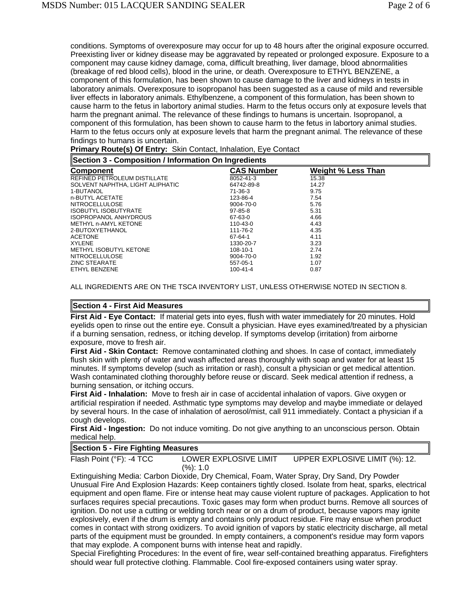conditions. Symptoms of overexposure may occur for up to 48 hours after the original exposure occurred. Preexisting liver or kidney disease may be aggravated by repeated or prolonged exposure. Exposure to a component may cause kidney damage, coma, difficult breathing, liver damage, blood abnormalities (breakage of red blood cells), blood in the urine, or death. Overexposure to ETHYL BENZENE, a component of this formulation, has been shown to cause damage to the liver and kidneys in tests in laboratory animals. Overexposure to isopropanol has been suggested as a cause of mild and reversible liver effects in laboratory animals. Ethylbenzene, a component of this formulation, has been shown to cause harm to the fetus in labortory animal studies. Harm to the fetus occurs only at exposure levels that harm the pregnant animal. The relevance of these findings to humans is uncertain. Isopropanol, a component of this formulation, has been shown to cause harm to the fetus in labortory animal studies. Harm to the fetus occurs only at exposure levels that harm the pregnant animal. The relevance of these findings to humans is uncertain.

**Primary Route(s) Of Entry:** Skin Contact, Inhalation, Eye Contact

| Section 3 - Composition / Information On Ingredients |                   |                           |  |
|------------------------------------------------------|-------------------|---------------------------|--|
| <b>Component</b>                                     | <b>CAS Number</b> | <b>Weight % Less Than</b> |  |
| REFINED PETROLEUM DISTILLATE                         | 8052-41-3         | 15.38                     |  |
| SOLVENT NAPHTHA, LIGHT ALIPHATIC                     | 64742-89-8        | 14.27                     |  |
| 1-BUTANOL                                            | $71-36-3$         | 9.75                      |  |
| n-BUTYL ACETATE                                      | 123-86-4          | 7.54                      |  |
| <b>NITROCELLULOSE</b>                                | 9004-70-0         | 5.76                      |  |
| <b>ISOBUTYL ISOBUTYRATE</b>                          | 97-85-8           | 5.31                      |  |
| <b>ISOPROPANOL ANHYDROUS</b>                         | 67-63-0           | 4.66                      |  |
| METHYL n-AMYL KETONE                                 | 110-43-0          | 4.43                      |  |
| 2-BUTOXYETHANOL                                      | 111-76-2          | 4.35                      |  |
| <b>ACETONE</b>                                       | 67-64-1           | 4.11                      |  |
| <b>XYLENE</b>                                        | 1330-20-7         | 3.23                      |  |
| <b>METHYL ISOBUTYL KETONE</b>                        | 108-10-1          | 2.74                      |  |
| <b>NITROCELLULOSE</b>                                | 9004-70-0         | 1.92                      |  |
| <b>ZINC STEARATE</b>                                 | 557-05-1          | 1.07                      |  |
| ETHYL BENZENE                                        | 100-41-4          | 0.87                      |  |

ALL INGREDIENTS ARE ON THE TSCA INVENTORY LIST, UNLESS OTHERWISE NOTED IN SECTION 8.

### **Section 4 - First Aid Measures**

**First Aid - Eye Contact:** If material gets into eyes, flush with water immediately for 20 minutes. Hold eyelids open to rinse out the entire eye. Consult a physician. Have eyes examined/treated by a physician if a burning sensation, redness, or itching develop. If symptoms develop (irritation) from airborne exposure, move to fresh air.

**First Aid - Skin Contact:** Remove contaminated clothing and shoes. In case of contact, immediately flush skin with plenty of water and wash affected areas thoroughly with soap and water for at least 15 minutes. If symptoms develop (such as irritation or rash), consult a physician or get medical attention. Wash contaminated clothing thoroughly before reuse or discard. Seek medical attention if redness, a burning sensation, or itching occurs.

**First Aid - Inhalation:** Move to fresh air in case of accidental inhalation of vapors. Give oxygen or artificial respiration if needed. Asthmatic type symptoms may develop and maybe immediate or delayed by several hours. In the case of inhalation of aerosol/mist, call 911 immediately. Contact a physician if a cough develops.

**First Aid - Ingestion:** Do not induce vomiting. Do not give anything to an unconscious person. Obtain medical help.

### **Section 5 - Fire Fighting Measures**

Flash Point (°F): -4 TCC LOWER EXPLOSIVE LIMIT (%): 1.0 UPPER EXPLOSIVE LIMIT (%): 12.

Extinguishing Media: Carbon Dioxide, Dry Chemical, Foam, Water Spray, Dry Sand, Dry Powder Unusual Fire And Explosion Hazards: Keep containers tightly closed. Isolate from heat, sparks, electrical equipment and open flame. Fire or intense heat may cause violent rupture of packages. Application to hot surfaces requires special precautions. Toxic gases may form when product burns. Remove all sources of ignition. Do not use a cutting or welding torch near or on a drum of product, because vapors may ignite explosively, even if the drum is empty and contains only product residue. Fire may ensue when product comes in contact with strong oxidizers. To avoid ignition of vapors by static electricity discharge, all metal parts of the equipment must be grounded. In empty containers, a component's residue may form vapors that may explode. A component burns with intense heat and rapidly.

Special Firefighting Procedures: In the event of fire, wear self-contained breathing apparatus. Firefighters should wear full protective clothing. Flammable. Cool fire-exposed containers using water spray.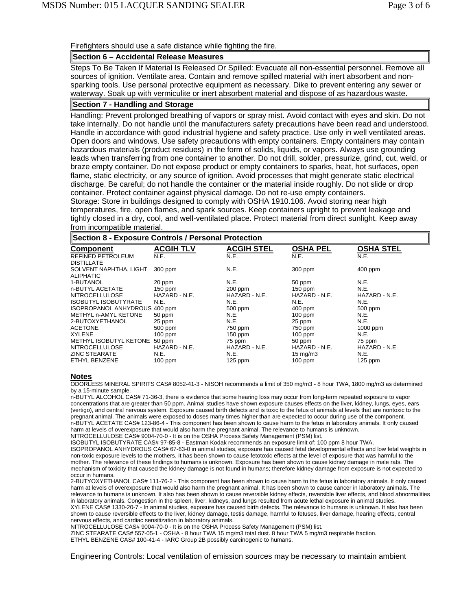Firefighters should use a safe distance while fighting the fire.

## **Section 6 – Accidental Release Measures**

Steps To Be Taken If Material Is Released Or Spilled: Evacuate all non-essential personnel. Remove all sources of ignition. Ventilate area. Contain and remove spilled material with inert absorbent and nonsparking tools. Use personal protective equipment as necessary. Dike to prevent entering any sewer or waterway. Soak up with vermiculite or inert absorbent material and dispose of as hazardous waste.

# **Section 7 - Handling and Storage**

Handling: Prevent prolonged breathing of vapors or spray mist. Avoid contact with eyes and skin. Do not take internally. Do not handle until the manufacturers safety precautions have been read and understood. Handle in accordance with good industrial hygiene and safety practice. Use only in well ventilated areas. Open doors and windows. Use safety precautions with empty containers. Empty containers may contain hazardous materials (product residues) in the form of solids, liquids, or vapors. Always use grounding leads when transferring from one container to another. Do not drill, solder, pressurize, grind, cut, weld, or braze empty container. Do not expose product or empty containers to sparks, heat, hot surfaces, open flame, static electricity, or any source of ignition. Avoid processes that might generate static electrical discharge. Be careful; do not handle the container or the material inside roughly. Do not slide or drop container. Protect container against physical damage. Do not re-use empty containers. Storage: Store in buildings designed to comply with OSHA 1910.106. Avoid storing near high

temperatures, fire, open flames, and spark sources. Keep containers upright to prevent leakage and tightly closed in a dry, cool, and well-ventilated place. Protect material from direct sunlight. Keep away from incompatible material.

#### **Section 8 - Exposure Controls / Personal Protection Component ACGIH TLV ACGIH STEL OSHA PEL OSHA STEL** REFINED PETROLEUM DISTILLATE N.E. N.E. N.E. N.E. SOLVENT NAPHTHA, LIGHT 300 ppm ALIPHATIC<br>1-BUTANOL 300 ppm N.E. 300 ppm 400 ppm 1-BUTANOL 20 ppm N.E. 50 ppm N.E. n-BUTYL ACETATE 150 ppm 200 ppm 150 ppm N.E. **NITROCELLULOSE** ISOBUTYL ISOBUTYRATE N.E. N.E. N.E. N.E. ISOPROPANOL ANHYDROUS 400 ppm 500 ppm 500 ppm 500 ppm 500<br>
METHYL n-AMYL KETONE 50 ppm 500 pm N.E. 100 ppm 100 pm METHYL n-AMYL KETONE 50 ppm N.E. 100 ppm N.E. 2-BUTOXYETHANOL 25 ppm N.E. 25 ppm N.E. ACETONE 500 ppm 750 ppm 750 ppm 1000 ppm XYLENE 100 ppm 150 ppm 150 ppm 100 ppm N.E. METHYL ISOBUTYL KETONE 50 ppm 75 ppm 50 ppm 75 ppm NITROCELLULOSE ZINC STEARATE N.E. N.E. 15 mg/m3 N.E. ETHYL BENZENE 100 ppm 125 ppm 100 ppm 125 ppm

#### **Notes**

ODORLESS MINERAL SPIRITS CAS# 8052-41-3 - NISOH recommends a limit of 350 mg/m3 - 8 hour TWA, 1800 mg/m3 as determined by a 15-minute sample.

n-BUTYL ALCOHOL CAS# 71-36-3, there is evidence that some hearing loss may occur from long-term repeated exposure to vapor concentrations that are greater than 50 ppm. Animal studies have shown exposure causes effects on the liver, kidney, lungs, eyes, ears (vertigo), and central nervous system. Exposure caused birth defects and is toxic to the fetus of animals at levels that are nontoxic to the pregnant animal. The animals were exposed to doses many times higher than are expected to occur during use of the component. n-BUTYL ACETATE CAS# 123-86-4 - This component has been shown to cause harm to the fetus in laboratory animals. It only caused harm at levels of overexposure that would also harm the pregnant animal. The relevance to humans is unknown.

NITROCELLULOSE CAS# 9004-70-0 - It is on the OSHA Process Safety Management (PSM) list.

ISOBUTYL ISOBUTYRATE CAS# 97-85-8 - Eastman Kodak recommends an exposure limit of: 100 ppm 8 hour TWA. ISOPROPANOL ANHYDROUS CAS# 67-63-0 in animal studies, exposure has caused fetal developmental effects and low fetal weights in non-toxic exposure levels to the mothers. It has been shown to cause fetotoxic effects at the level of exposure that was harmful to the mother. The relevance of these findings to humans is unknown. Exposure has been shown to cause kidney damage in male rats. The mechanism of toxicity that caused the kidney damage is not found in humans; therefore kidney damage from exposure is not expected to occur in humans.

2-BUTYOXYETHANOL CAS# 111-76-2 - This component has been shown to cause harm to the fetus in laboratory animals. It only caused harm at levels of overexposure that would also harm the pregnant animal. It has been shown to cause cancer in laboratory animals. The relevance to humans is unknown. It also has been shown to cause reversible kidney effects, reversible liver effects, and blood abnormalities in laboratory animals. Congestion in the spleen, liver, kidneys, and lungs resulted from acute lethal exposure in animal studies. XYLENE CAS# 1330-20-7 - In animal studies, exposure has caused birth defects. The relevance to humans is unknown. It also has been shown to cause reversible effects to the liver, kidney damage, testis damage, harmful to fetuses, liver damage, hearing effects, central nervous effects, and cardiac sensitization in laboratory animals.

NITROCELLULOSE CAS# 9004-70-0 - It is on the OSHA Process Safety Management (PSM) list.

ZINC STEARATE CAS# 557-05-1 - OSHA - 8 hour TWA 15 mg/m3 total dust. 8 hour TWA 5 mg/m3 respirable fraction.

ETHYL BENZENE CAS# 100-41-4 - IARC Group 2B possibly carcinogenic to humans.

Engineering Controls: Local ventilation of emission sources may be necessary to maintain ambient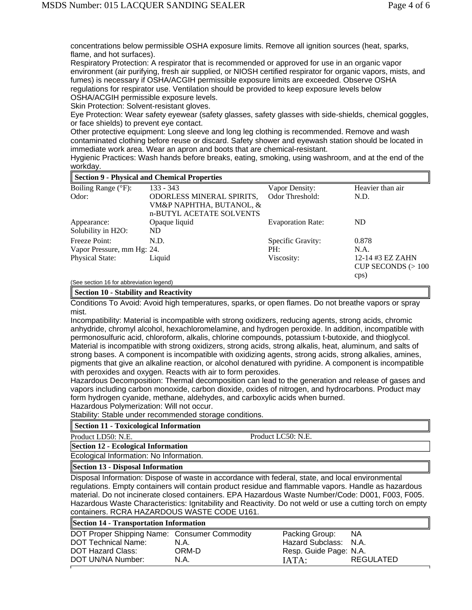concentrations below permissible OSHA exposure limits. Remove all ignition sources (heat, sparks, flame, and hot surfaces).

Respiratory Protection: A respirator that is recommended or approved for use in an organic vapor environment (air purifying, fresh air supplied, or NIOSH certified respirator for organic vapors, mists, and fumes) is necessary if OSHA/ACGIH permissible exposure limits are exceeded. Observe OSHA regulations for respirator use. Ventilation should be provided to keep exposure levels below OSHA/ACGIH permissible exposure levels.

Skin Protection: Solvent-resistant gloves.

Eye Protection: Wear safety eyewear (safety glasses, safety glasses with side-shields, chemical goggles, or face shields) to prevent eye contact.

Other protective equipment: Long sleeve and long leg clothing is recommended. Remove and wash contaminated clothing before reuse or discard. Safety shower and eyewash station should be located in immediate work area. Wear an apron and boots that are chemical-resistant.

Hygienic Practices: Wash hands before breaks, eating, smoking, using washroom, and at the end of the workday.

| Section 9 - Physical and Chemical Properties |                                                                                          |                          |                                                 |
|----------------------------------------------|------------------------------------------------------------------------------------------|--------------------------|-------------------------------------------------|
| Boiling Range (°F):                          | $133 - 343$                                                                              | Vapor Density:           | Heavier than air                                |
| Odor:                                        | <b>ODORLESS MINERAL SPIRITS,</b><br>VM&P NAPHTHA, BUTANOL, &<br>n-BUTYL ACETATE SOLVENTS | Odor Threshold:          | N.D.                                            |
| Appearance:<br>Solubility in H2O:            | Opaque liquid<br>ND                                                                      | <b>Evaporation Rate:</b> | ND                                              |
| Freeze Point:                                | N.D.                                                                                     | Specific Gravity:        | 0.878                                           |
| Vapor Pressure, mm Hg: 24.                   |                                                                                          | PH:                      | N.A.                                            |
| Physical State:                              | Liquid                                                                                   | Viscosity:               | 12-14 #3 EZ ZAHN<br>CUP SECONDS $(>100$<br>cps) |

(See section 16 for abbreviation legend)

**Section 10 - Stability and Reactivity**

Conditions To Avoid: Avoid high temperatures, sparks, or open flames. Do not breathe vapors or spray mist.

Incompatibility: Material is incompatible with strong oxidizers, reducing agents, strong acids, chromic anhydride, chromyl alcohol, hexachloromelamine, and hydrogen peroxide. In addition, incompatible with permonosulfuric acid, chloroform, alkalis, chlorine compounds, potassium t-butoxide, and thioglycol. Material is incompatible with strong oxidizers, strong acids, strong alkalis, heat, aluminum, and salts of strong bases. A component is incompatible with oxidizing agents, strong acids, strong alkalies, amines, pigments that give an alkaline reaction, or alcohol denatured with pyridine. A component is incompatible with peroxides and oxygen. Reacts with air to form peroxides.

Hazardous Decomposition: Thermal decomposition can lead to the generation and release of gases and vapors including carbon monoxide, carbon dioxide, oxides of nitrogen, and hydrocarbons. Product may form hydrogen cyanide, methane, aldehydes, and carboxylic acids when burned.

Hazardous Polymerization: Will not occur.

Stability: Stable under recommended storage conditions.

| Section 11 - Toxicological Information |  |
|----------------------------------------|--|
|----------------------------------------|--|

Product LD50: N.E. Product LC50: N.E.

**Section 12 - Ecological Information**

Ecological Information: No Information.

**Section 13 - Disposal Information**

Disposal Information: Dispose of waste in accordance with federal, state, and local environmental regulations. Empty containers will contain product residue and flammable vapors. Handle as hazardous material. Do not incinerate closed containers. EPA Hazardous Waste Number/Code: D001, F003, F005. Hazardous Waste Characteristics: Ignitability and Reactivity. Do not weld or use a cutting torch on empty containers. RCRA HAZARDOUS WASTE CODE U161.

# **Section 14 - Transportation Information**

| DOT Proper Shipping Name: Consumer Commodity |       | Packing Group:         | <b>NA</b>        |
|----------------------------------------------|-------|------------------------|------------------|
| DOT Technical Name:                          | N.A.  | Hazard Subclass: N.A.  |                  |
| DOT Hazard Class:                            | ORM-D | Resp. Guide Page: N.A. |                  |
| DOT UN/NA Number:                            | N.A.  | $IATA$ :               | <b>REGULATED</b> |
|                                              |       |                        |                  |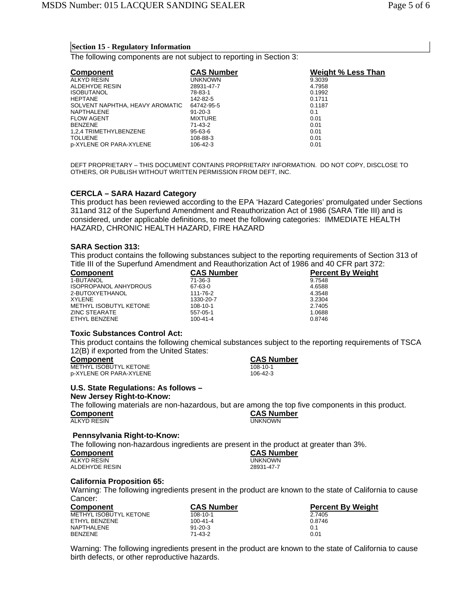#### **Section 15 - Regulatory Information**

The following components are not subject to reporting in Section 3:

| <b>Component</b>                | <b>CAS Number</b> | <b>Weight % Less Than</b> |
|---------------------------------|-------------------|---------------------------|
| ALKYD RESIN                     | <b>UNKNOWN</b>    | 9.3039                    |
| ALDEHYDE RESIN                  | 28931-47-7        | 4.7958                    |
| <b>ISOBUTANOL</b>               | 78-83-1           | 0.1992                    |
| <b>HEPTANE</b>                  | 142-82-5          | 0.1711                    |
| SOLVENT NAPHTHA, HEAVY AROMATIC | 64742-95-5        | 0.1187                    |
| NAPTHALENE                      | $91 - 20 - 3$     | 0.1                       |
| <b>FLOW AGENT</b>               | <b>MIXTURE</b>    | 0.01                      |
| <b>BENZENE</b>                  | 71-43-2           | 0.01                      |
| 1.2.4 TRIMETHYLBENZENE          | 95-63-6           | 0.01                      |
| <b>TOLUENE</b>                  | 108-88-3          | 0.01                      |
| p-XYLENE OR PARA-XYLENE         | 106-42-3          | 0.01                      |

DEFT PROPRIETARY – THIS DOCUMENT CONTAINS PROPRIETARY INFORMATION. DO NOT COPY, DISCLOSE TO OTHERS, OR PUBLISH WITHOUT WRITTEN PERMISSION FROM DEFT, INC.

#### **CERCLA – SARA Hazard Category**

This product has been reviewed according to the EPA 'Hazard Categories' promulgated under Sections 311and 312 of the Superfund Amendment and Reauthorization Act of 1986 (SARA Title III) and is considered, under applicable definitions, to meet the following categories: IMMEDIATE HEALTH HAZARD, CHRONIC HEALTH HAZARD, FIRE HAZARD

#### **SARA Section 313:**

This product contains the following substances subject to the reporting requirements of Section 313 of Title III of the Superfund Amendment and Reauthorization Act of 1986 and 40 CFR part 372:

| <b>Component</b>              | <b>CAS Number</b> | <b>Percent By Weight</b> |
|-------------------------------|-------------------|--------------------------|
| 1-BUTANOL                     | 71-36-3           | 9.7548                   |
| <b>ISOPROPANOL ANHYDROUS</b>  | 67-63-0           | 4.6588                   |
| 2-BUTOXYETHANOL               | 111-76-2          | 4.3548                   |
| <b>XYLENE</b>                 | 1330-20-7         | 3.2304                   |
| <b>METHYL ISOBUTYL KETONE</b> | 108-10-1          | 2.7405                   |
| <b>ZINC STEARATE</b>          | 557-05-1          | 1.0688                   |
| ETHYL BENZENE                 | $100 - 41 - 4$    | 0.8746                   |

#### **Toxic Substances Control Act:**

This product contains the following chemical substances subject to the reporting requirements of TSCA 12(B) if exported from the United States:

| <b>Component</b>        | <b>CAS Number</b> |
|-------------------------|-------------------|
| METHYL ISOBUTYL KETONE  | 108-10-1          |
| p-XYLENE OR PARA-XYLENE | 106-42-3          |

#### **U.S. State Regulations: As follows –**

**New Jersey Right-to-Know:**

The following materials are non-hazardous, but are among the top five components in this product. **Component CAS Number ALKYD RESIN** 

# **Pennsylvania Right-to-Know:**

The following non-hazardous ingredients are present in the product at greater than 3%.

**Component CAS Number** ALDEHYDE RESIN

# **California Proposition 65:**

Warning: The following ingredients present in the product are known to the state of California to cause Cancer:

**UNKNOWN**<br>28931-47-7

| <b>Component</b>       | <b>CAS Number</b> | <b>Percent By Weight</b> |
|------------------------|-------------------|--------------------------|
| METHYL ISOBUTYL KETONE | 108-10-1          | 2.7405                   |
| ETHYL BENZENE          | 100-41-4          | 0.8746                   |
| NAPTHALENE             | $91 - 20 - 3$     | 0.1                      |
| <b>BENZENE</b>         | $71 - 43 - 2$     | 0.01                     |

Warning: The following ingredients present in the product are known to the state of California to cause birth defects, or other reproductive hazards.